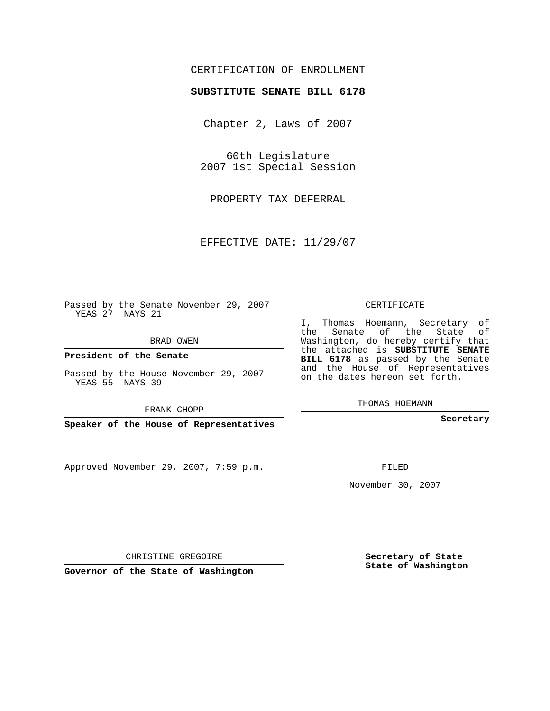## CERTIFICATION OF ENROLLMENT

## **SUBSTITUTE SENATE BILL 6178**

Chapter 2, Laws of 2007

60th Legislature 2007 1st Special Session

PROPERTY TAX DEFERRAL

EFFECTIVE DATE: 11/29/07

Passed by the Senate November 29, 2007 YEAS 27 NAYS 21

BRAD OWEN

**President of the Senate**

Passed by the House November 29, 2007 YEAS 55 NAYS 39

FRANK CHOPP

**Speaker of the House of Representatives**

Approved November 29, 2007, 7:59 p.m.

CERTIFICATE

I, Thomas Hoemann, Secretary of the Senate of the State of Washington, do hereby certify that the attached is **SUBSTITUTE SENATE BILL 6178** as passed by the Senate and the House of Representatives on the dates hereon set forth.

THOMAS HOEMANN

**Secretary**

FILED

November 30, 2007

**Secretary of State State of Washington**

CHRISTINE GREGOIRE

**Governor of the State of Washington**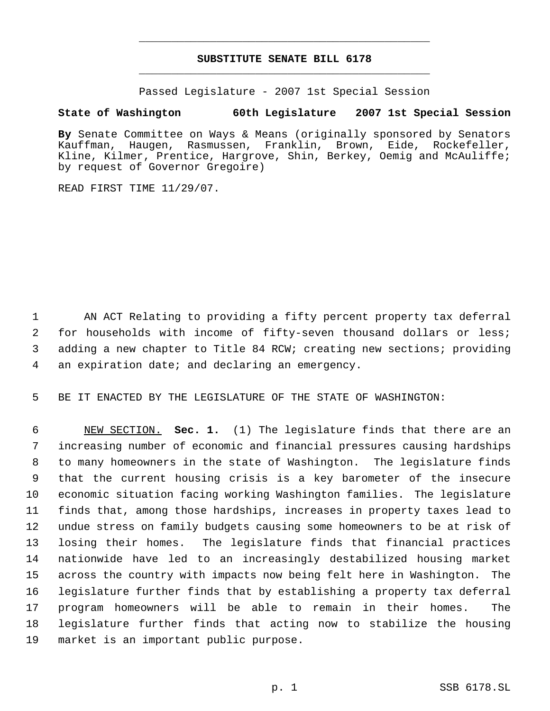## **SUBSTITUTE SENATE BILL 6178** \_\_\_\_\_\_\_\_\_\_\_\_\_\_\_\_\_\_\_\_\_\_\_\_\_\_\_\_\_\_\_\_\_\_\_\_\_\_\_\_\_\_\_\_\_

\_\_\_\_\_\_\_\_\_\_\_\_\_\_\_\_\_\_\_\_\_\_\_\_\_\_\_\_\_\_\_\_\_\_\_\_\_\_\_\_\_\_\_\_\_

Passed Legislature - 2007 1st Special Session

## **State of Washington 60th Legislature 2007 1st Special Session**

**By** Senate Committee on Ways & Means (originally sponsored by Senators Kauffman, Haugen, Rasmussen, Franklin, Brown, Eide, Rockefeller, Kline, Kilmer, Prentice, Hargrove, Shin, Berkey, Oemig and McAuliffe; by request of Governor Gregoire)

READ FIRST TIME 11/29/07.

 AN ACT Relating to providing a fifty percent property tax deferral for households with income of fifty-seven thousand dollars or less; adding a new chapter to Title 84 RCW; creating new sections; providing an expiration date; and declaring an emergency.

BE IT ENACTED BY THE LEGISLATURE OF THE STATE OF WASHINGTON:

 NEW SECTION. **Sec. 1.** (1) The legislature finds that there are an increasing number of economic and financial pressures causing hardships to many homeowners in the state of Washington. The legislature finds that the current housing crisis is a key barometer of the insecure economic situation facing working Washington families. The legislature finds that, among those hardships, increases in property taxes lead to undue stress on family budgets causing some homeowners to be at risk of losing their homes. The legislature finds that financial practices nationwide have led to an increasingly destabilized housing market across the country with impacts now being felt here in Washington. The legislature further finds that by establishing a property tax deferral program homeowners will be able to remain in their homes. The legislature further finds that acting now to stabilize the housing market is an important public purpose.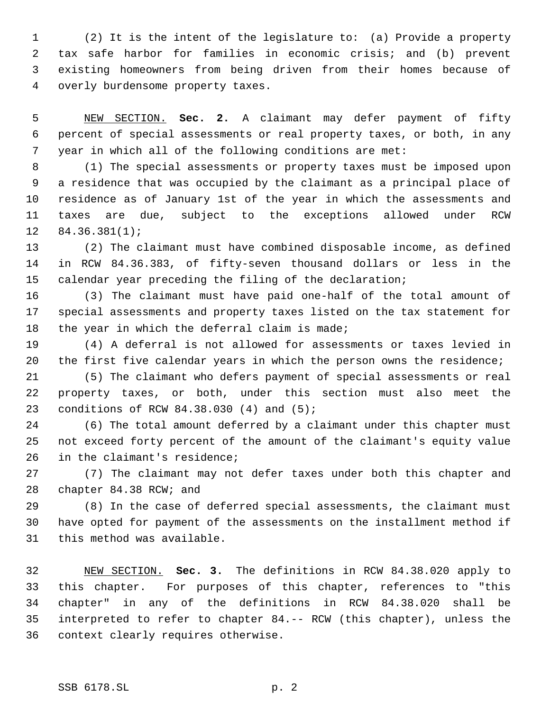(2) It is the intent of the legislature to: (a) Provide a property tax safe harbor for families in economic crisis; and (b) prevent existing homeowners from being driven from their homes because of overly burdensome property taxes.

 NEW SECTION. **Sec. 2.** A claimant may defer payment of fifty percent of special assessments or real property taxes, or both, in any year in which all of the following conditions are met:

 (1) The special assessments or property taxes must be imposed upon a residence that was occupied by the claimant as a principal place of residence as of January 1st of the year in which the assessments and taxes are due, subject to the exceptions allowed under RCW 84.36.381(1);

 (2) The claimant must have combined disposable income, as defined in RCW 84.36.383, of fifty-seven thousand dollars or less in the calendar year preceding the filing of the declaration;

 (3) The claimant must have paid one-half of the total amount of special assessments and property taxes listed on the tax statement for 18 the year in which the deferral claim is made;

 (4) A deferral is not allowed for assessments or taxes levied in the first five calendar years in which the person owns the residence;

 (5) The claimant who defers payment of special assessments or real property taxes, or both, under this section must also meet the conditions of RCW 84.38.030 (4) and (5);

 (6) The total amount deferred by a claimant under this chapter must not exceed forty percent of the amount of the claimant's equity value 26 in the claimant's residence;

 (7) The claimant may not defer taxes under both this chapter and chapter 84.38 RCW; and

 (8) In the case of deferred special assessments, the claimant must have opted for payment of the assessments on the installment method if this method was available.

 NEW SECTION. **Sec. 3.** The definitions in RCW 84.38.020 apply to this chapter. For purposes of this chapter, references to "this chapter" in any of the definitions in RCW 84.38.020 shall be interpreted to refer to chapter 84.-- RCW (this chapter), unless the context clearly requires otherwise.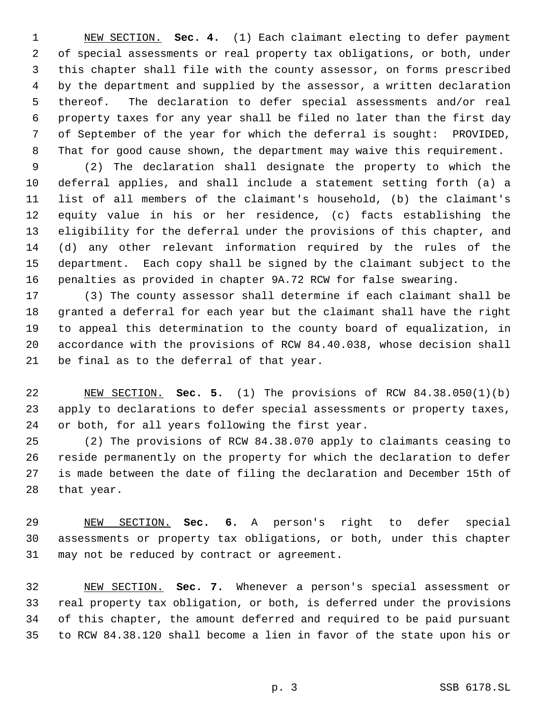NEW SECTION. **Sec. 4.** (1) Each claimant electing to defer payment of special assessments or real property tax obligations, or both, under this chapter shall file with the county assessor, on forms prescribed by the department and supplied by the assessor, a written declaration thereof. The declaration to defer special assessments and/or real property taxes for any year shall be filed no later than the first day of September of the year for which the deferral is sought: PROVIDED, That for good cause shown, the department may waive this requirement.

 (2) The declaration shall designate the property to which the deferral applies, and shall include a statement setting forth (a) a list of all members of the claimant's household, (b) the claimant's equity value in his or her residence, (c) facts establishing the eligibility for the deferral under the provisions of this chapter, and (d) any other relevant information required by the rules of the department. Each copy shall be signed by the claimant subject to the penalties as provided in chapter 9A.72 RCW for false swearing.

 (3) The county assessor shall determine if each claimant shall be granted a deferral for each year but the claimant shall have the right to appeal this determination to the county board of equalization, in accordance with the provisions of RCW 84.40.038, whose decision shall be final as to the deferral of that year.

 NEW SECTION. **Sec. 5.** (1) The provisions of RCW 84.38.050(1)(b) apply to declarations to defer special assessments or property taxes, or both, for all years following the first year.

 (2) The provisions of RCW 84.38.070 apply to claimants ceasing to reside permanently on the property for which the declaration to defer is made between the date of filing the declaration and December 15th of that year.

 NEW SECTION. **Sec. 6.** A person's right to defer special assessments or property tax obligations, or both, under this chapter may not be reduced by contract or agreement.

 NEW SECTION. **Sec. 7.** Whenever a person's special assessment or real property tax obligation, or both, is deferred under the provisions of this chapter, the amount deferred and required to be paid pursuant to RCW 84.38.120 shall become a lien in favor of the state upon his or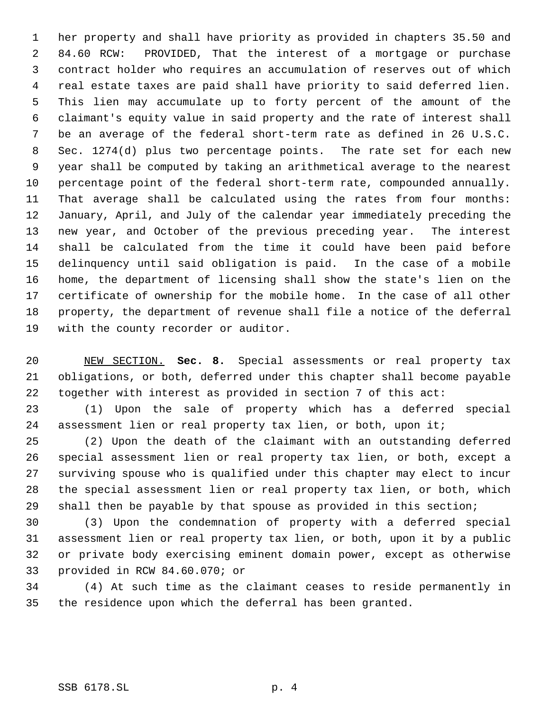her property and shall have priority as provided in chapters 35.50 and 84.60 RCW: PROVIDED, That the interest of a mortgage or purchase contract holder who requires an accumulation of reserves out of which real estate taxes are paid shall have priority to said deferred lien. This lien may accumulate up to forty percent of the amount of the claimant's equity value in said property and the rate of interest shall be an average of the federal short-term rate as defined in 26 U.S.C. Sec. 1274(d) plus two percentage points. The rate set for each new year shall be computed by taking an arithmetical average to the nearest percentage point of the federal short-term rate, compounded annually. That average shall be calculated using the rates from four months: January, April, and July of the calendar year immediately preceding the new year, and October of the previous preceding year. The interest shall be calculated from the time it could have been paid before delinquency until said obligation is paid. In the case of a mobile home, the department of licensing shall show the state's lien on the certificate of ownership for the mobile home. In the case of all other property, the department of revenue shall file a notice of the deferral with the county recorder or auditor.

 NEW SECTION. **Sec. 8.** Special assessments or real property tax obligations, or both, deferred under this chapter shall become payable together with interest as provided in section 7 of this act:

 (1) Upon the sale of property which has a deferred special assessment lien or real property tax lien, or both, upon it;

 (2) Upon the death of the claimant with an outstanding deferred special assessment lien or real property tax lien, or both, except a surviving spouse who is qualified under this chapter may elect to incur the special assessment lien or real property tax lien, or both, which shall then be payable by that spouse as provided in this section;

 (3) Upon the condemnation of property with a deferred special assessment lien or real property tax lien, or both, upon it by a public or private body exercising eminent domain power, except as otherwise provided in RCW 84.60.070; or

 (4) At such time as the claimant ceases to reside permanently in the residence upon which the deferral has been granted.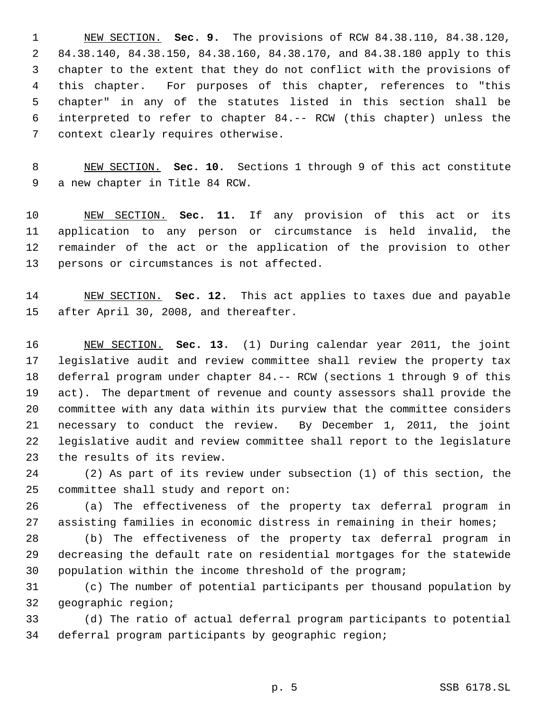NEW SECTION. **Sec. 9.** The provisions of RCW 84.38.110, 84.38.120, 84.38.140, 84.38.150, 84.38.160, 84.38.170, and 84.38.180 apply to this chapter to the extent that they do not conflict with the provisions of this chapter. For purposes of this chapter, references to "this chapter" in any of the statutes listed in this section shall be interpreted to refer to chapter 84.-- RCW (this chapter) unless the context clearly requires otherwise.

 NEW SECTION. **Sec. 10.** Sections 1 through 9 of this act constitute a new chapter in Title 84 RCW.

 NEW SECTION. **Sec. 11.** If any provision of this act or its application to any person or circumstance is held invalid, the remainder of the act or the application of the provision to other persons or circumstances is not affected.

 NEW SECTION. **Sec. 12.** This act applies to taxes due and payable after April 30, 2008, and thereafter.

 NEW SECTION. **Sec. 13.** (1) During calendar year 2011, the joint legislative audit and review committee shall review the property tax deferral program under chapter 84.-- RCW (sections 1 through 9 of this act). The department of revenue and county assessors shall provide the committee with any data within its purview that the committee considers necessary to conduct the review. By December 1, 2011, the joint legislative audit and review committee shall report to the legislature the results of its review.

 (2) As part of its review under subsection (1) of this section, the committee shall study and report on:

 (a) The effectiveness of the property tax deferral program in assisting families in economic distress in remaining in their homes;

 (b) The effectiveness of the property tax deferral program in decreasing the default rate on residential mortgages for the statewide population within the income threshold of the program;

 (c) The number of potential participants per thousand population by geographic region;

 (d) The ratio of actual deferral program participants to potential deferral program participants by geographic region;